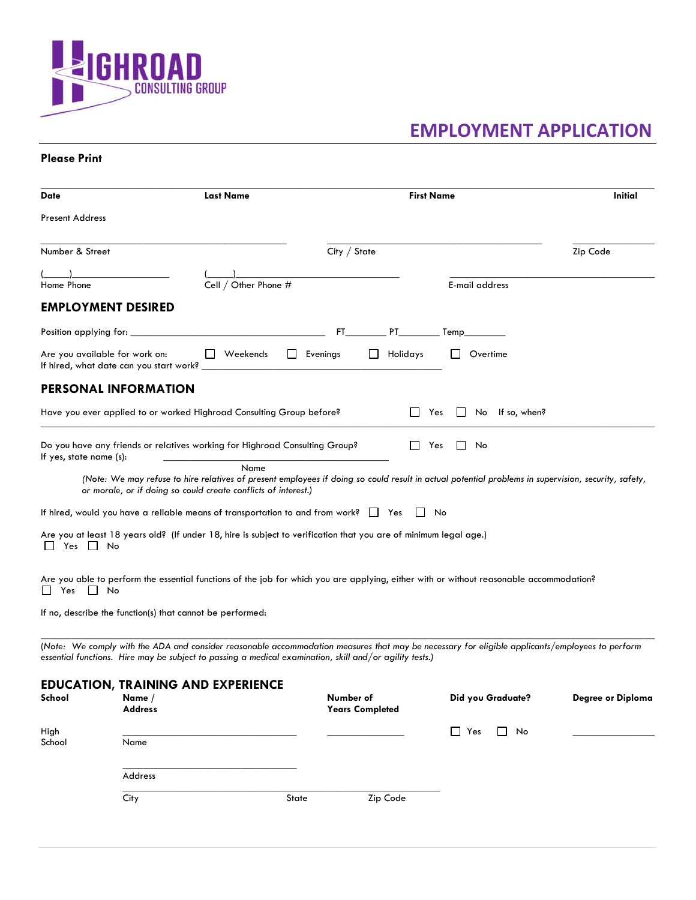

## **EMPLOYMENT APPLICATION**

## **Please Print**

|                                | <b>Last Name</b>                                                                                                                                                                                                                                           |                                     | <b>First Name</b> |                   | <b>Initial</b>    |
|--------------------------------|------------------------------------------------------------------------------------------------------------------------------------------------------------------------------------------------------------------------------------------------------------|-------------------------------------|-------------------|-------------------|-------------------|
| <b>Present Address</b>         |                                                                                                                                                                                                                                                            |                                     |                   |                   |                   |
| Number & Street                |                                                                                                                                                                                                                                                            | City / State                        |                   |                   | Zip Code          |
|                                |                                                                                                                                                                                                                                                            |                                     |                   |                   |                   |
| Home Phone                     | Cell / Other Phone #                                                                                                                                                                                                                                       |                                     |                   | E-mail address    |                   |
| <b>EMPLOYMENT DESIRED</b>      |                                                                                                                                                                                                                                                            |                                     |                   |                   |                   |
|                                |                                                                                                                                                                                                                                                            | FT 1                                | PT <sub>2</sub>   | Temp              |                   |
| Are you available for work on: | Weekends<br>If hired, what date can you start work?                                                                                                                                                                                                        | $\Box$ Evenings<br>$\Box$ Holidays  |                   | Overtime          |                   |
| <b>PERSONAL INFORMATION</b>    |                                                                                                                                                                                                                                                            |                                     |                   |                   |                   |
|                                | Have you ever applied to or worked Highroad Consulting Group before?                                                                                                                                                                                       |                                     | Yes               | No If so, when?   |                   |
| If yes, state name (s):        | Do you have any friends or relatives working for Highroad Consulting Group?                                                                                                                                                                                |                                     | Yes               | No                |                   |
|                                | Name<br>(Note: We may refuse to hire relatives of present employees if doing so could result in actual potential problems in supervision, security, safety,<br>or morale, or if doing so could create conflicts of interest.)                              |                                     |                   |                   |                   |
|                                | If hired, would you have a reliable means of transportation to and from work? $\Box$ Yes                                                                                                                                                                   |                                     | II No             |                   |                   |
| $\Box$ Yes $\Box$ No           | Are you at least 18 years old? (If under 18, hire is subject to verification that you are of minimum legal age.)                                                                                                                                           |                                     |                   |                   |                   |
| $\perp$<br>Yes ∐ No            | Are you able to perform the essential functions of the job for which you are applying, either with or without reasonable accommodation?                                                                                                                    |                                     |                   |                   |                   |
|                                | If no, describe the function(s) that cannot be performed:                                                                                                                                                                                                  |                                     |                   |                   |                   |
|                                |                                                                                                                                                                                                                                                            |                                     |                   |                   |                   |
|                                | (Note: We comply with the ADA and consider reasonable accommodation measures that may be necessary for eligible applicants/employees to perform<br>essential functions. Hire may be subject to passing a medical examination, skill and/or agility tests.) |                                     |                   |                   |                   |
|                                | <b>EDUCATION, TRAINING AND EXPERIENCE</b>                                                                                                                                                                                                                  |                                     |                   |                   |                   |
| School                         | Name /<br><b>Address</b>                                                                                                                                                                                                                                   | Number of<br><b>Years Completed</b> |                   | Did you Graduate? | Degree or Diploma |

Address

| City | State | Zip Code |  |
|------|-------|----------|--|

\_\_\_\_\_\_\_\_\_\_\_\_\_\_\_\_\_\_\_\_\_\_\_\_\_\_\_\_\_\_\_\_\_\_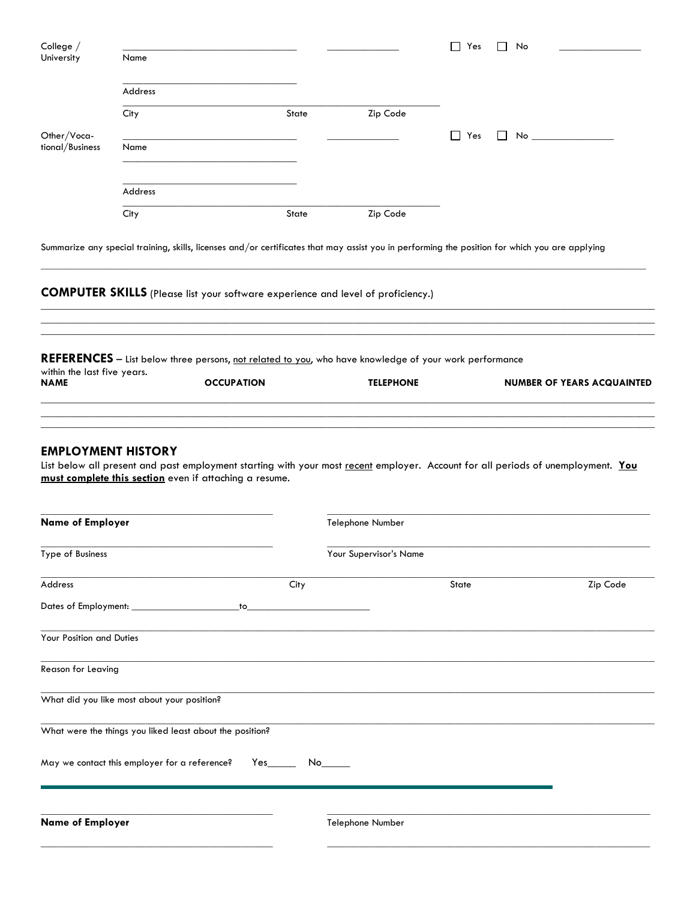| College /                                            |                                                          |                                                        |       |                                                                                                                                                                                                                                           | Yes                   | No                                                                                                                                                                                                                                                                                  |
|------------------------------------------------------|----------------------------------------------------------|--------------------------------------------------------|-------|-------------------------------------------------------------------------------------------------------------------------------------------------------------------------------------------------------------------------------------------|-----------------------|-------------------------------------------------------------------------------------------------------------------------------------------------------------------------------------------------------------------------------------------------------------------------------------|
| University                                           | Name                                                     |                                                        |       |                                                                                                                                                                                                                                           |                       |                                                                                                                                                                                                                                                                                     |
|                                                      | Address                                                  |                                                        |       |                                                                                                                                                                                                                                           |                       |                                                                                                                                                                                                                                                                                     |
|                                                      | City                                                     |                                                        | State | Zip Code                                                                                                                                                                                                                                  |                       |                                                                                                                                                                                                                                                                                     |
| Other/Voca-<br>tional/Business                       | Name                                                     |                                                        |       |                                                                                                                                                                                                                                           | ∐ Yes<br>$\mathsf{L}$ | $\mathsf{No}$ . The set of $\mathsf{No}$ is a set of $\mathsf{No}$ . The set of $\mathsf{No}$ is a set of $\mathsf{No}$ is a set of $\mathsf{No}$ is a set of $\mathsf{No}$ is a set of $\mathsf{No}$ is a set of $\mathsf{No}$ is a set of $\mathsf{No}$ is a set of $\mathsf{No}$ |
|                                                      |                                                          |                                                        |       |                                                                                                                                                                                                                                           |                       |                                                                                                                                                                                                                                                                                     |
|                                                      | Address                                                  |                                                        |       |                                                                                                                                                                                                                                           |                       |                                                                                                                                                                                                                                                                                     |
|                                                      | City                                                     |                                                        | State | Zip Code                                                                                                                                                                                                                                  |                       |                                                                                                                                                                                                                                                                                     |
|                                                      |                                                          |                                                        |       | Summarize any special training, skills, licenses and/or certificates that may assist you in performing the position for which you are applying<br><b>COMPUTER SKILLS</b> (Please list your software experience and level of proficiency.) |                       |                                                                                                                                                                                                                                                                                     |
|                                                      |                                                          |                                                        |       | REFERENCES - List below three persons, not related to you, who have knowledge of your work performance                                                                                                                                    |                       |                                                                                                                                                                                                                                                                                     |
| within the last five years.<br><b>NAME</b>           |                                                          | <b>OCCUPATION</b>                                      |       | <b>TELEPHONE</b>                                                                                                                                                                                                                          |                       | <b>NUMBER OF YEARS ACQUAINTED</b>                                                                                                                                                                                                                                                   |
|                                                      |                                                          |                                                        |       |                                                                                                                                                                                                                                           |                       |                                                                                                                                                                                                                                                                                     |
| <b>EMPLOYMENT HISTORY</b><br><b>Name of Employer</b> |                                                          | must complete this section even if attaching a resume. |       | Telephone Number                                                                                                                                                                                                                          |                       | List below all present and past employment starting with your most recent employer. Account for all periods of unemployment. You                                                                                                                                                    |
| Type of Business                                     |                                                          |                                                        |       | Your Supervisor's Name                                                                                                                                                                                                                    |                       |                                                                                                                                                                                                                                                                                     |
|                                                      |                                                          |                                                        |       |                                                                                                                                                                                                                                           |                       |                                                                                                                                                                                                                                                                                     |
| Address                                              |                                                          |                                                        |       |                                                                                                                                                                                                                                           |                       |                                                                                                                                                                                                                                                                                     |
| Dates of Employment:                                 |                                                          |                                                        | City  |                                                                                                                                                                                                                                           | State                 | Zip Code                                                                                                                                                                                                                                                                            |
|                                                      |                                                          | $\mathsf{to}$                                          |       |                                                                                                                                                                                                                                           |                       |                                                                                                                                                                                                                                                                                     |
| Your Position and Duties                             |                                                          |                                                        |       |                                                                                                                                                                                                                                           |                       |                                                                                                                                                                                                                                                                                     |
| Reason for Leaving                                   |                                                          |                                                        |       |                                                                                                                                                                                                                                           |                       |                                                                                                                                                                                                                                                                                     |
|                                                      | What did you like most about your position?              |                                                        |       |                                                                                                                                                                                                                                           |                       |                                                                                                                                                                                                                                                                                     |
|                                                      | What were the things you liked least about the position? |                                                        |       |                                                                                                                                                                                                                                           |                       |                                                                                                                                                                                                                                                                                     |
|                                                      | May we contact this employer for a reference?            | Yes                                                    |       |                                                                                                                                                                                                                                           |                       |                                                                                                                                                                                                                                                                                     |
|                                                      |                                                          |                                                        |       |                                                                                                                                                                                                                                           |                       |                                                                                                                                                                                                                                                                                     |
| <b>Name of Employer</b>                              |                                                          |                                                        |       | Telephone Number                                                                                                                                                                                                                          |                       |                                                                                                                                                                                                                                                                                     |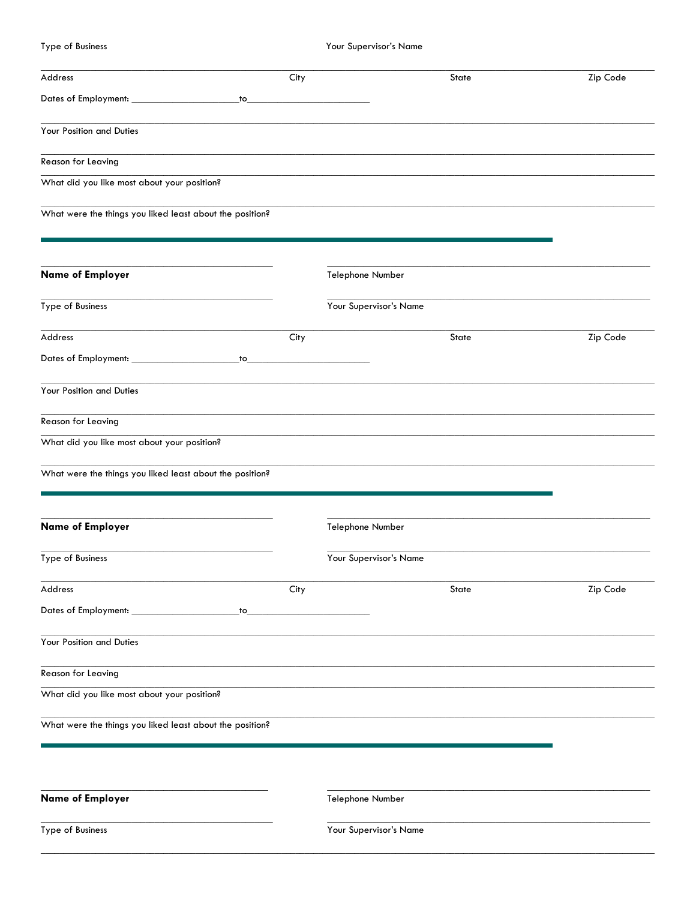Type of Business

| Address                                                  | City |                        | State | Zip Code |
|----------------------------------------------------------|------|------------------------|-------|----------|
| to                                                       |      |                        |       |          |
| Your Position and Duties                                 |      |                        |       |          |
| Reason for Leaving                                       |      |                        |       |          |
| What did you like most about your position?              |      |                        |       |          |
| What were the things you liked least about the position? |      |                        |       |          |
| <b>Name of Employer</b>                                  |      | Telephone Number       |       |          |
|                                                          |      |                        |       |          |
| Type of Business                                         |      | Your Supervisor's Name |       |          |
| Address                                                  | City |                        | State | Zip Code |
|                                                          |      |                        |       |          |
| Your Position and Duties                                 |      |                        |       |          |
| Reason for Leaving                                       |      |                        |       |          |
| What did you like most about your position?              |      |                        |       |          |
| What were the things you liked least about the position? |      |                        |       |          |
|                                                          |      |                        |       |          |
| <b>Name of Employer</b>                                  |      | Telephone Number       |       |          |
| Type of Business                                         |      | Your Supervisor's Name |       |          |
| Address                                                  | City |                        | State | Zip Code |
| Dates of Employment: _<br>to                             |      |                        |       |          |
| Your Position and Duties                                 |      |                        |       |          |
| Reason for Leaving                                       |      |                        |       |          |
| What did you like most about your position?              |      |                        |       |          |
| What were the things you liked least about the position? |      |                        |       |          |
|                                                          |      |                        |       |          |
|                                                          |      |                        |       |          |
| <b>Name of Employer</b>                                  |      | Telephone Number       |       |          |
| Type of Business                                         |      | Your Supervisor's Name |       |          |